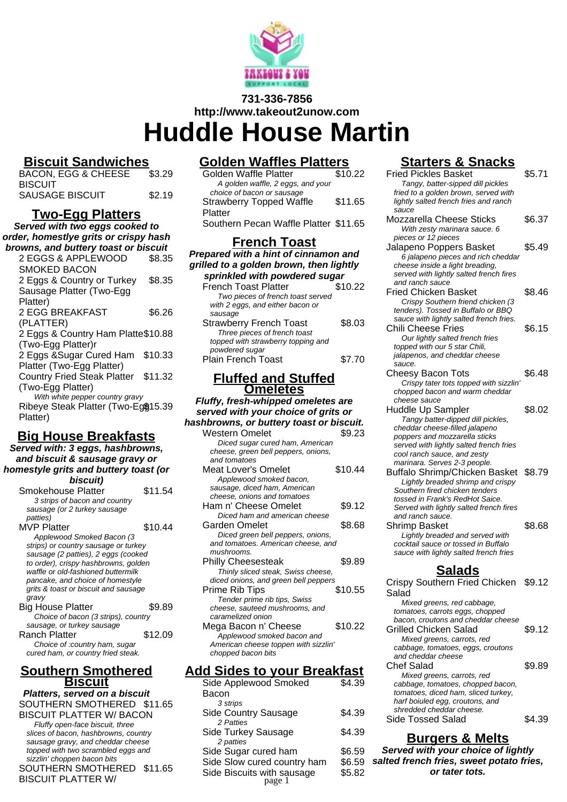

# **731-336-7856 http://www.takeout2unow.com**

**Huddle House Martin**

# **Biscuit Sandwiches**

| BACON, EGG & CHEESE | \$3.29 |
|---------------------|--------|
| <b>BISCUIT</b>      |        |
| SAUSAGE BISCUIT     | \$2.19 |

# **Two-Egg Platters**

**Served with two eggs cooked to order, homestlye grits or crispy hash browns, and buttery toast or biscuit**

| \$8.35                              |
|-------------------------------------|
|                                     |
| \$8.35                              |
|                                     |
|                                     |
| \$6.26                              |
|                                     |
| 2 Eggs & Country Ham Platte\$10.88  |
|                                     |
| \$10.33                             |
|                                     |
| \$11.32                             |
|                                     |
| With white pepper country gravy     |
| Ribeye Steak Platter (Two-Eg\$15.39 |
|                                     |
|                                     |

## **Big House Breakfasts**

**Served with: 3 eggs, hashbrowns, and biscuit & sausage gravy or homestyle grits and buttery toast (or biscuit)**

| Smokehouse Platter                   | \$11.54 |
|--------------------------------------|---------|
| 3 strips of bacon and country        |         |
| sausage (or 2 turkey sausage         |         |
| <i>patties</i> )                     |         |
| <b>MVP Platter</b>                   | \$10.44 |
| Applewood Smoked Bacon (3            |         |
| strips) or country sausage or turkey |         |
| sausage (2 patties), 2 eggs (cooked  |         |
| to order), crispy hashbrowns, golden |         |
| waffle or old-fashioned buttermilk   |         |
| pancake, and choice of homestyle     |         |
| grits & toast or biscuit and sausage |         |
| gravy                                |         |
| <b>Big House Platter</b>             | \$9.89  |
| Choice of bacon (3 strips), country  |         |
| sausage, or turkey sausage           |         |
| Ranch Platter                        | \$12.09 |
| Choice of :country ham, sugar        |         |
| cured ham, or country fried steak.   |         |
|                                      |         |

## **Southern Smothered Biscuit**

**Platters, served on a biscuit** SOUTHERN SMOTHERED \$11.65 BISCUIT PLATTER W/ BACON Fluffy open-face biscuit, three slices of bacon, hashbrowns, country sausage gravy, and cheddar cheese topped with two scrambled eggs and sizzlin' choppen bacon bits SOUTHERN SMOTHERED \$11.65 BISCUIT PLATTER W/

# **Golden Waffles Platters**

| <b>French Toast</b><br>anarad with a hint of cinnamon and       |         |
|-----------------------------------------------------------------|---------|
| Southern Pecan Waffle Platter \$11.65                           |         |
| <b>Strawberry Topped Waffle</b><br>Platter                      | \$11.65 |
| A golden waffle, 2 eggs, and your<br>choice of bacon or sausage |         |
| <b>Golden Waffle Platter</b>                                    | \$10.22 |

### **Prepared with a hint of cinnamon and grilled to a golden brown, then lightly sprinkled with powdered sugar**

| <b>French Toast Platter</b>        | \$10.22 |
|------------------------------------|---------|
| Two pieces of french toast served  |         |
| with 2 eggs, and either bacon or   |         |
| sausage                            |         |
| <b>Strawberry French Toast</b>     | \$8.03  |
| Three pieces of french toast       |         |
| topped with strawberry topping and |         |
| powdered sugar                     |         |
| <b>Plain French Toast</b>          | \$7.70  |

## **Fluffed and Stuffed Omeletes**

**Fluffy, fresh-whipped omeletes are served with your choice of grits or hashbrowns, or buttery toast or biscuit.** Western Omelet \$9.23 Diced sugar cured ham, American cheese, green bell peppers, onions,

| and tomatoes                         |         |
|--------------------------------------|---------|
| Meat Lover's Omelet                  | \$10.44 |
| Applewood smoked bacon,              |         |
| sausage, diced ham, American         |         |
| cheese, onions and tomatoes          |         |
| Ham n' Cheese Omelet                 | \$9.12  |
| Diced ham and american cheese        |         |
| Garden Omelet                        | \$8.68  |
| Diced green bell peppers, onions,    |         |
| and tomatoes. American cheese, and   |         |
| mushrooms.                           |         |
| <b>Philly Cheesesteak</b>            | \$9.89  |
| Thinly sliced steak, Swiss cheese,   |         |
| diced onions, and green bell peppers |         |
| Prime Rib Tips                       | \$10.55 |
| Tender prime rib tips, Swiss         |         |
| cheese, sauteed mushrooms, and       |         |
| caramelized onion                    |         |
| Mega Bacon n' Cheese                 | \$10.22 |
| Applewood smoked bacon and           |         |
|                                      |         |

American cheese toppen with sizzlin' chopped bacon bits

## **Add Sides to your Breakfast**

| Side Applewood Smoked       | \$4.39 |
|-----------------------------|--------|
| Bacon                       |        |
| 3 strips                    |        |
| <b>Side Country Sausage</b> | \$4.39 |
| 2 Patties                   |        |
| Side Turkey Sausage         | \$4.39 |
| 2 patties                   |        |
| Side Sugar cured ham        | \$6.59 |
| Side Slow cured country ham | \$6.59 |
| Side Biscuits with sausage  | \$5.82 |
| page 1                      |        |

# **Starters & Snacks**

| <u>Starters &amp; Shacks</u>            |        |
|-----------------------------------------|--------|
| Fried Pickles Basket                    | \$5.71 |
| Tangy, batter-sipped dill pickles       |        |
| fried to a golden brown, served with    |        |
| lightly salted french fries and ranch   |        |
| sauce                                   |        |
| Mozzarella Cheese Sticks                | \$6.37 |
| With zesty marinara sauce. 6            |        |
| pieces or 12 pieces                     |        |
|                                         |        |
| Jalapeno Poppers Basket                 | \$5.49 |
| 6 jalapeno pieces and rich cheddar      |        |
| cheese inside a light breading,         |        |
| served with lightly salted french fires |        |
| and ranch sauce                         |        |
| <b>Fried Chicken Basket</b>             | \$8.46 |
| Crispy Southern friend chicken (3       |        |
| tenders). Tossed in Buffalo or BBQ      |        |
| sauce with lightly salted french fries. |        |
| Chili Cheese Fries                      | \$6.15 |
| Our lightly salted french fries         |        |
|                                         |        |
| topped with our 5 star Chili,           |        |
| jalapenos, and cheddar cheese           |        |
| sauce.                                  |        |
| <b>Cheesy Bacon Tots</b>                | \$6.48 |
| Crispy tater tots topped with sizzlin'  |        |
| chopped bacon and warm cheddar          |        |
| cheese sauce                            |        |
| Huddle Up Sampler                       | \$8.02 |
| Tangy batter-dipped dill pickles,       |        |
| cheddar cheese-filled jalapeno          |        |
| poppers and mozzarella sticks           |        |
| served with lightly salted french fries |        |
| cool ranch sauce, and zesty             |        |
| marinara. Serves 2-3 people.            |        |
| Buffalo Shrimp/Chicken Basket \$8.79    |        |
| Lightly breaded shrimp and crispy       |        |
| Southern fired chicken tenders          |        |
|                                         |        |
| tossed in Frank's RedHot Saice.         |        |
| Served with lightly salted french fires |        |
| and ranch sauce.                        |        |
| Shrimp Basket                           | \$8.68 |
| Lightly breaded and served with         |        |
| cocktail sauce or tossed in Buffalo     |        |
| sauce with lightly salted french fries  |        |
|                                         |        |
| Salads                                  |        |
| Crispy Southern Fried Chicken           | \$9.12 |
| Salad                                   |        |
|                                         |        |
| Mixed greens, red cabbage,              |        |
| tomatoes, carrots eggs, chopped         |        |
| bacon, croutons and cheddar cheese      |        |
| Grilled Chicken Salad                   | \$9.12 |
| Mixed greens, carrots, red              |        |
| cabbage, tomatoes, eggs, croutons       |        |
| and cheddar cheese                      |        |
| <b>Chef Salad</b>                       | \$9.89 |
| Mixed greens, carrots, red              |        |
| cabbage, tomatoes, chopped bacon,       |        |
| tomatoes, diced ham, sliced turkey,     |        |
| harf boiuled egg, croutons, and         |        |
| shredded cheddar cheese.                |        |
| Side Tossed Salad                       | \$4.39 |
|                                         |        |
| Rurgare & Malte                         |        |

**Burgers & Melts Served with your choice of lightly salted french fries, sweet potato fries, or tater tots.**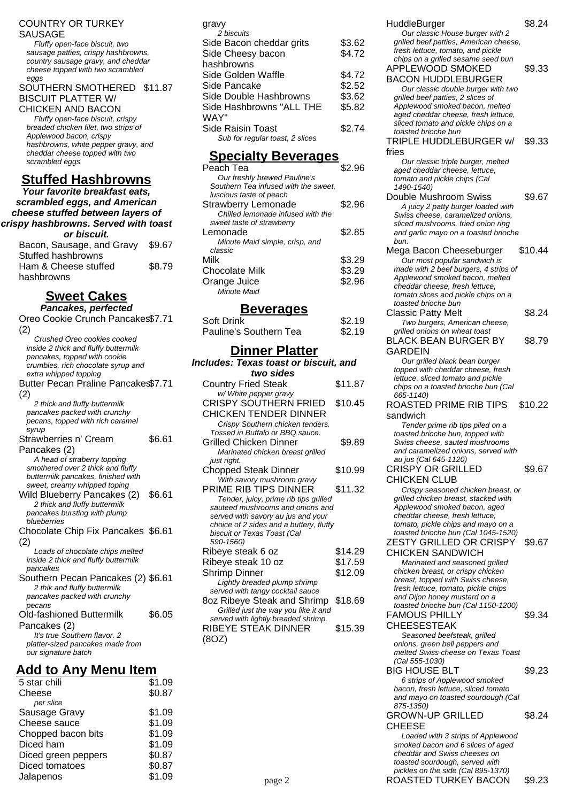### COUNTRY OR TURKEY SAUSAGE

Fluffy open-face biscuit, two sausage patties, crispy hashbrowns, country sausage gravy, and cheddar cheese topped with two scrambled eggs

### SOUTHERN SMOTHERED \$11.87 BISCUIT PLATTER W/

CHICKEN AND BACON Fluffy open-face biscuit, crispy breaded chicken filet, two strips of Applewood bacon, crispy hashbrowns, white pepper gravy, and cheddar cheese topped with two scrambled eggs

# **Stuffed Hashbrowns**

**Your favorite breakfast eats, scrambled eggs, and American cheese stuffed between layers of crispy hashbrowns. Served with toast or biscuit.**

| Bacon, Sausage, and Gravy | \$9.67 |
|---------------------------|--------|
| Stuffed hashbrowns        |        |
| Ham & Cheese stuffed      | \$8.79 |
| hashbrowns                |        |

# **Sweet Cakes**

| $\sim$ $\sim$ $\sim$<br><u>Junuu</u>                                    |        |
|-------------------------------------------------------------------------|--------|
| Pancakes, perfected                                                     |        |
| Oreo Cookie Crunch Pancakes\$7.71                                       |        |
| (2)                                                                     |        |
| Crushed Oreo cookies cooked                                             |        |
| inside 2 thick and fluffy buttermilk                                    |        |
| pancakes, topped with cookie                                            |        |
| crumbles, rich chocolate syrup and                                      |        |
| extra whipped topping                                                   |        |
| Butter Pecan Praline Pancake \$7.71                                     |        |
| (2)                                                                     |        |
| 2 thick and fluffy buttermilk                                           |        |
| pancakes packed with crunchy                                            |        |
| pecans, topped with rich caramel                                        |        |
| syrup                                                                   |        |
| Strawberries n' Cream                                                   | \$6.61 |
| Pancakes (2)                                                            |        |
| A head of straberry topping                                             |        |
| smothered over 2 thick and fluffy<br>buttermilk pancakes, finished with |        |
| sweet, creamy whipped toping                                            |        |
| Wild Blueberry Pancakes (2)                                             | \$6.61 |
| 2 thick and fluffy buttermilk                                           |        |
| pancakes bursting with plump                                            |        |
| blueberries                                                             |        |
| Chocolate Chip Fix Pancakes \$6.61                                      |        |
| (2)                                                                     |        |
| Loads of chocolate chips melted                                         |        |
| inside 2 thick and fluffy buttermilk                                    |        |
| pancakes                                                                |        |
| Southern Pecan Pancakes (2) \$6.61                                      |        |
| 2 thik and fluffy buttermilk                                            |        |
| pancakes packed with crunchy                                            |        |
| pecans                                                                  |        |
| Old-fashioned Buttermilk                                                | \$6.05 |
| Pancakes (2)                                                            |        |
| It's true Southern flavor. 2                                            |        |
| platter-sized pancakes made from                                        |        |
| our signature batch                                                     |        |

## **Add to Any Menu Item**

| 5 star chili        | \$1.09 |
|---------------------|--------|
| Cheese              | \$0.87 |
| per slice           |        |
| Sausage Gravy       | \$1.09 |
| Cheese sauce        | \$1.09 |
| Chopped bacon bits  | \$1.09 |
| Diced ham           | \$1.09 |
| Diced green peppers | \$0.87 |
| Diced tomatoes      | \$0.87 |
| Jalapenos           | \$1.09 |
|                     |        |

| gravy                           |        |
|---------------------------------|--------|
| 2 biscuits                      |        |
| Side Bacon cheddar grits        | \$3.62 |
| Side Cheesy bacon               | \$4.72 |
| hashbrowns                      |        |
| Side Golden Waffle              | \$4.72 |
| Side Pancake                    | \$2.52 |
| Side Double Hashbrowns          | \$3.62 |
| Side Hashbrowns "ALL THE        | \$5.82 |
| WAY"                            |        |
| Side Raisin Toast               | \$2.74 |
| Sub for regular toast, 2 slices |        |
|                                 |        |

# **Specialty Beverages**

| Peach Tea                            | \$2.96 |
|--------------------------------------|--------|
| Our freshly brewed Pauline's         |        |
| Southern Tea infused with the sweet, |        |
| luscious taste of peach              |        |
| <b>Strawberry Lemonade</b>           | \$2.96 |
| Chilled lemonade infused with the    |        |
| sweet taste of strawberry            |        |
| Lemonade                             | \$2.85 |
| Minute Maid simple, crisp, and       |        |
| classic                              |        |
| Milk                                 | \$3.29 |
| <b>Chocolate Milk</b>                | \$3.29 |
| Orange Juice                         | \$2.96 |
| Minute Maid                          |        |

### **Beverages**

| Soft Drink             | \$2.19 |
|------------------------|--------|
| Pauline's Southern Tea | \$2.19 |

## **Dinner Platter**

| Includes: Texas toast or biscuit, and    |         |  |
|------------------------------------------|---------|--|
| two sides                                |         |  |
| <b>Country Fried Steak</b>               | \$11.87 |  |
| w/ White pepper gravy                    |         |  |
| <b>CRISPY SOUTHERN FRIED</b>             | \$10.45 |  |
| <b>CHICKEN TENDER DINNER</b>             |         |  |
| Crispy Southern chicken tenders.         |         |  |
| Tossed in Buffalo or BBQ sauce.          |         |  |
| <b>Grilled Chicken Dinner</b>            | \$9.89  |  |
| Marinated chicken breast grilled         |         |  |
| just right.                              |         |  |
| Chopped Steak Dinner                     | \$10.99 |  |
| With savory mushroom gravy               |         |  |
| PRIME RIB TIPS DINNER                    | \$11.32 |  |
| Tender, juicy, prime rib tips grilled    |         |  |
| sauteed mushrooms and onions and         |         |  |
| served with savory au jus and your       |         |  |
| choice of 2 sides and a buttery, fluffy  |         |  |
| biscuit or Texas Toast (Cal<br>590-1560) |         |  |
| Ribeye steak 6 oz                        | \$14.29 |  |
| Ribeye steak 10 oz                       | \$17.59 |  |
| <b>Shrimp Dinner</b>                     | \$12.09 |  |
| Lightly breaded plump shrimp             |         |  |
| served with tangy cocktail sauce         |         |  |
| 8oz Ribeye Steak and Shrimp              | \$18.69 |  |
| Grilled just the way you like it and     |         |  |
| served with lightly breaded shrimp.      |         |  |
| RIBEYE STEAK DINNER                      | \$15.39 |  |
|                                          |         |  |

(8OZ)

| HuddleBurger<br>Our classic House burger with 2<br>grilled beef patties, American cheese, | \$8.24  |
|-------------------------------------------------------------------------------------------|---------|
| fresh lettuce, tomato, and pickle<br>chips on a grilled sesame seed bun                   |         |
| APPLEWOOD SMOKED                                                                          | \$9.33  |
| <b>BACON HUDDLEBURGER</b><br>Our classic double burger with two                           |         |
| grilled beef patties, 2 slices of                                                         |         |
| Applewood smoked bacon, melted<br>aged cheddar cheese, fresh lettuce,                     |         |
| sliced tomato and pickle chips on a                                                       |         |
| toasted brioche bun<br>TRIPLE HUDDLEBURGER w/                                             | \$9.33  |
| fries                                                                                     |         |
| Our classic triple burger, melted                                                         |         |
| aged cheddar cheese, lettuce,                                                             |         |
| tomato and pickle chips (Cal<br>1490-1540)                                                |         |
| Double Mushroom Swiss                                                                     | \$9.67  |
| A juicy 2 patty burger loaded with                                                        |         |
| Swiss cheese, caramelized onions,                                                         |         |
| sliced mushrooms, fried onion ring                                                        |         |
| and garlic mayo on a toasted brioche                                                      |         |
| bun.                                                                                      |         |
| Mega Bacon Cheeseburger                                                                   | \$10.44 |
| Our most popular sandwich is                                                              |         |
| made with 2 beef burgers, 4 strips of                                                     |         |
| Applewood smoked bacon, melted                                                            |         |
| cheddar cheese, fresh lettuce,<br>tomato slices and pickle chips on a                     |         |
| toasted brioche bun                                                                       |         |
| <b>Classic Patty Melt</b>                                                                 | \$8.24  |
| Two burgers, American cheese,                                                             |         |
| grilled onions on wheat toast                                                             |         |
| DI <i>ACK</i> DEAN DHDCED DV                                                              | 00 70   |

BLACK BEAN BURGER BY GARDEIN \$8.79 Our grilled black bean burger topped with cheddar cheese, fresh

lettuce, sliced tomato and pickle chips on a toasted brioche bun (Cal 665-1140) ROASTED PRIME RIB TIPS \$10.22

sandwich Tender prime rib tips piled on a toasted brioche bun, topped with Swiss cheese, sauted mushrooms and caramelized onions, served with au jus (Cal 645-1120) CRISPY OR GRILLED \$9.67

#### CHICKEN CLUB Crispy seasoned chicken breast, or grilled chicken breast, stacked with Applewood smoked bacon, aged cheddar cheese, fresh lettuce, tomato, pickle chips and mayo on a toasted brioche bun (Cal 1045-1520) ZESTY GRILLED OR CRISPY CHICKEN SANDWICH \$9.67

Marinated and seasoned grilled chicken breast, or crispy chicken breast, topped with Swiss cheese, fresh lettuce, tomato, pickle chips and Dijon honey mustard on a toasted brioche bun (Cal 1150-1200) FAMOUS PHILLY

\$9.34

### CHEESESTEAK

Seasoned beefsteak, grilled onions, green bell peppers and melted Swiss cheese on Texas Toast (Cal 555-1030) BIG HOUSE BLT \$9.23 6 strips of Applewood smoked bacon, fresh lettuce, sliced tomato and mayo on toasted sourdough (Cal 875-1350) GROWN-UP GRILLED CHEESE \$8.24 Loaded with 3 strips of Applewood smoked bacon and 6 slices of aged cheddar and Swiss cheeses on toasted sourdough, served with

#### pickles on the side (Cal 895-1370) page 2 ROASTED TURKEY BACON \$9.23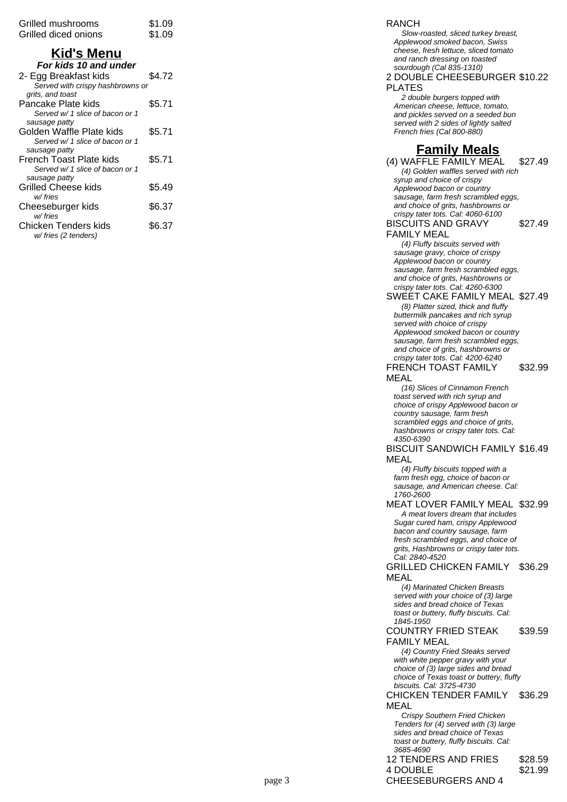| Grilled mushrooms<br>Grilled diced onions | \$1.09<br>\$1.09 |
|-------------------------------------------|------------------|
| Kid's Menu                                |                  |
| For kids 10 and under                     |                  |
| 2- Egg Breakfast kids                     | \$4.72           |
| Served with crispy hashbrowns or          |                  |
| grits, and toast                          |                  |
| Pancake Plate kids                        | \$5.71           |
| Served w/ 1 slice of bacon or 1           |                  |
| sausage patty                             |                  |
| Golden Waffle Plate kids                  | \$5.71           |
| Served w/ 1 slice of bacon or 1           |                  |
| sausage patty                             |                  |
| French Toast Plate kids                   | \$5.71           |
| Served w/ 1 slice of bacon or 1           |                  |
| sausage patty                             |                  |
| Grilled Cheese kids                       | \$5.49           |
| w/ fries                                  |                  |
| Cheeseburger kids                         | \$6.37           |
| w/fries                                   |                  |
| Chicken Tenders kids                      | \$6.37           |
| w/ fries (2 tenders)                      |                  |

#### RANCH

Slow-roasted, sliced turkey breast, Applewood smoked bacon, Swiss cheese, fresh lettuce, sliced tomato and ranch dressing on toasted sourdough (Cal 835-1310)

2 DOUBLE CHEESEBURGER \$10.22 PLATES

2 double burgers topped with American cheese, lettuce, tomato, and pickles served on a seeded bun served with 2 sides of lightly salted French fries (Cal 800-880)

## **Family Meals**

(4) WAFFLE FAMILY MEAL \$27.49 (4) Golden waffles served with rich syrup and choice of crispy Applewood bacon or country sausage, farm fresh scrambled eggs, and choice of grits, hashbrowns or crispy tater tots. Cal: 4060-6100

BISCUITS AND GRAVY FAMILY MEAL \$27.49

(4) Fluffy biscuits served with sausage gravy, choice of crispy Applewood bacon or country sausage, farm fresh scrambled eggs, and choice of grits, Hashbrowns or crispy tater tots. Cal: 4260-6300

SWEET CAKE FAMILY MEAL \$27.49 (8) Platter sized, thick and fluffy buttermilk pancakes and rich syrup served with choice of crispy Applewood smoked bacon or country sausage, farm fresh scrambled eggs, and choice of grits, hashbrowns or crispy tater tots. Cal: 4200-6240 FRENCH TOAST FAMILY \$32.99

MEAL

(16) Slices of Cinnamon French toast served with rich syrup and choice of crispy Applewood bacon or country sausage, farm fresh scrambled eggs and choice of grits, hashbrowns or crispy tater tots. Cal: 4350-6390

BISCUIT SANDWICH FAMILY \$16.49 MEAL

(4) Fluffy biscuits topped with a farm fresh egg, choice of bacon or sausage, and American cheese. Cal: 1760-2600

MEAT LOVER FAMILY MEAL \$32.99

A meat lovers dream that includes Sugar cured ham, crispy Applewood bacon and country sausage, farm fresh scrambled eggs, and choice of grits, Hashbrowns or crispy tater tots. Cal: 2840-4520

GRILLED CHICKEN FAMILY MEAL \$36.29

(4) Marinated Chicken Breasts served with your choice of (3) large sides and bread choice of Texas toast or buttery, fluffy biscuits. Cal: 1845-1950

COUNTRY FRIED STEAK FAMILY MEAL \$39.59

(4) Country Fried Steaks served with white pepper gravy with your choice of (3) large sides and bread choice of Texas toast or buttery, fluffy biscuits. Cal: 3725-4730

CHICKEN TENDER FAMILY MEAL \$36.29

Crispy Southern Fried Chicken Tenders for (4) served with (3) large sides and bread choice of Texas toast or buttery, fluffy biscuits. Cal: 3685-4690 12 TENDERS AND FRIES \$28.59 4 DOUBLE

\$21.99